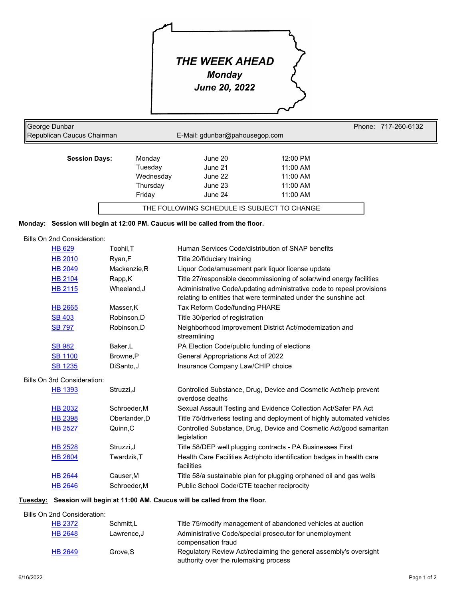# *THE WEEK AHEAD*

*Monday* 

*June 20, 2022*

| George Dunbar<br>Republican Caucus Chairman | E-Mail: gdunbar@pahousegop.com |         |            | Phone: 717-260-6132 |  |
|---------------------------------------------|--------------------------------|---------|------------|---------------------|--|
| <b>Session Days:</b>                        | Monday                         | June 20 | 12:00 PM   |                     |  |
|                                             | Tuesday                        | June 21 | $11:00$ AM |                     |  |
|                                             | Wednesday                      | June 22 | $11:00$ AM |                     |  |
|                                             | Thursday                       | June 23 | $11:00$ AM |                     |  |
|                                             | Friday                         | June 24 | $11:00$ AM |                     |  |

# **Monday: Session will begin at 12:00 PM. Caucus will be called from the floor.**

## Bills On 2nd Consideration:

| <b>HB 629</b>  | Toohil, T    | Human Services Code/distribution of SNAP benefits                                                                                         |
|----------------|--------------|-------------------------------------------------------------------------------------------------------------------------------------------|
| <b>HB 2010</b> | Ryan, F      | Title 20/fiduciary training                                                                                                               |
| <b>HB 2049</b> | Mackenzie, R | Liquor Code/amusement park liquor license update                                                                                          |
| HB 2104        | Rapp,K       | Title 27/responsible decommissioning of solar/wind energy facilities                                                                      |
| HB 2115        | Wheeland, J  | Administrative Code/updating administrative code to repeal provisions<br>relating to entities that were terminated under the sunshine act |
| <b>HB 2665</b> | Masser.K     | Tax Reform Code/funding PHARE                                                                                                             |
| <b>SB 403</b>  | Robinson.D   | Title 30/period of registration                                                                                                           |
| <b>SB 797</b>  | Robinson.D   | Neighborhood Improvement District Act/modernization and<br>streamlining                                                                   |
| <b>SB 982</b>  | Baker,L      | PA Election Code/public funding of elections                                                                                              |
| <b>SB 1100</b> | Browne.P     | General Appropriations Act of 2022                                                                                                        |
| <b>SB 1235</b> | DiSanto.J    | Insurance Company Law/CHIP choice                                                                                                         |

#### Bills On 3rd Consideration:

| <b>HB 1393</b> | Struzzi, J   | Controlled Substance, Drug, Device and Cosmetic Act/help prevent<br>overdose deaths |
|----------------|--------------|-------------------------------------------------------------------------------------|
| <b>HB 2032</b> | Schroeder.M  | Sexual Assault Testing and Evidence Collection Act/Safer PA Act                     |
| <b>HB 2398</b> | Oberlander.D | Title 75/driverless testing and deployment of highly automated vehicles             |
| <b>HB 2527</b> | Quinn.C      | Controlled Substance, Drug, Device and Cosmetic Act/good samaritan<br>legislation   |
| <b>HB 2528</b> | Struzzi.J    | Title 58/DEP well plugging contracts - PA Businesses First                          |
| <b>HB 2604</b> | Twardzik.T   | Health Care Facilities Act/photo identification badges in health care<br>facilities |
| <b>HB 2644</b> | Causer, M    | Title 58/a sustainable plan for plugging orphaned oil and gas wells                 |
| <b>HB 2646</b> | Schroeder, M | Public School Code/CTE teacher reciprocity                                          |
|                |              |                                                                                     |

## **Tuesday: Session will begin at 11:00 AM. Caucus will be called from the floor.**

Bills On 2nd Consideration:

| <b>HB 2372</b> | Schmitt.L  | Title 75/modify management of abandoned vehicles at auction                                                |
|----------------|------------|------------------------------------------------------------------------------------------------------------|
| <b>HB 2648</b> | Lawrence.J | Administrative Code/special prosecutor for unemployment<br>compensation fraud                              |
| <b>HB 2649</b> | Grove.S    | Regulatory Review Act/reclaiming the general assembly's oversight<br>authority over the rulemaking process |